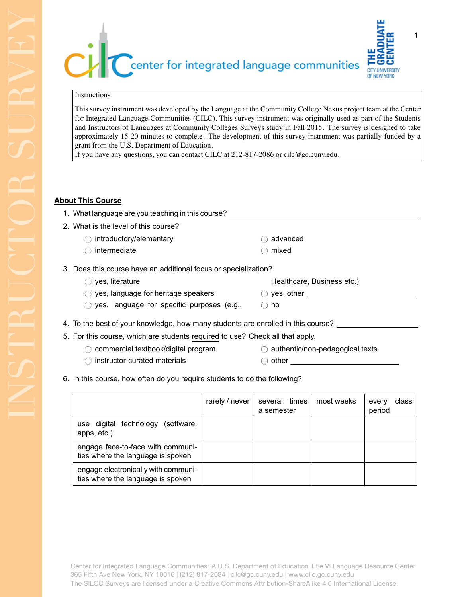center for integrated language communities **CITY HNIVERS** OF NEW YORK

## Instructions

This survey instrument was developed by the Language at the Community College Nexus project team at the Center for Integrated Language Communities (CILC). This survey instrument was originally used as part of the Students and Instructors of Languages at Community Colleges Surveys study in Fall 2015. The survey is designed to take approximately 15-20 minutes to complete. The development of this survey instrument was partially funded by a grant from the U.S. Department of Education.

If you have any questions, you can contact CILC at 212-817-2086 or cilc@gc.cuny.edu.

## **About This Course**

| 1. What language are you teaching in this course?                                |                                  |  |  |  |
|----------------------------------------------------------------------------------|----------------------------------|--|--|--|
| 2. What is the level of this course?                                             |                                  |  |  |  |
| introductory/elementary                                                          | advanced                         |  |  |  |
| intermediate                                                                     | mixed                            |  |  |  |
| 3. Does this course have an additional focus or specialization?                  |                                  |  |  |  |
| yes, literature                                                                  | Healthcare, Business etc.)       |  |  |  |
| yes, language for heritage speakers                                              | $\bigcirc$ yes, other $\bigcirc$ |  |  |  |
| yes, language for specific purposes (e.g.,                                       | $\odot$ no                       |  |  |  |
| 4. To the best of your knowledge, how many students are enrolled in this course? |                                  |  |  |  |
| 5. For this course, which are students required to use? Check all that apply.    |                                  |  |  |  |
| commercial textbook/digital program                                              | authentic/non-pedagogical texts  |  |  |  |

 $\bigcirc$  instructor-curated materials

- $\bigcirc$  authentic/non-pedagogical texts
- 
- $\bigcirc$  other

6. In this course, how often do you require students to do the following?

|                                                                          | rarely / never | several times<br>a semester | most weeks | class<br>every<br>period |
|--------------------------------------------------------------------------|----------------|-----------------------------|------------|--------------------------|
| use digital technology<br>(software,<br>apps, etc.)                      |                |                             |            |                          |
| engage face-to-face with communi-<br>ties where the language is spoken   |                |                             |            |                          |
| engage electronically with communi-<br>ties where the language is spoken |                |                             |            |                          |

Center for Integrated Language Communities: A U.S. Department of Education Title VI Language Resource Center 365 Fifth Ave New York, NY 10016 | (212) 817-2084 | cilc@gc.cuny.edu | www.cilc.gc.cuny.edu The SILCC Surveys are licensed under a Creative Commons Attribution-ShareAlike 4.0 International License.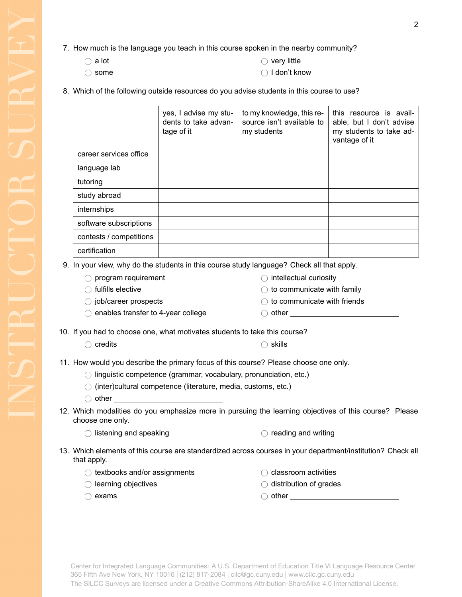- 7. How much is the language you teach in this course spoken in the nearby community?
	- $\bigcirc$  a lot

 $\bigcirc$  very little

 $\bigcirc$  some

- I don't know
- 8. Which of the following outside resources do you advise students in this course to use?

|                         | yes, I advise my stu-<br>dents to take advan-<br>tage of it | to my knowledge, this re-<br>source isn't available to<br>my students | this resource is avail-<br>able, but I don't advise<br>my students to take ad-<br>vantage of it |
|-------------------------|-------------------------------------------------------------|-----------------------------------------------------------------------|-------------------------------------------------------------------------------------------------|
| career services office  |                                                             |                                                                       |                                                                                                 |
| language lab            |                                                             |                                                                       |                                                                                                 |
| tutoring                |                                                             |                                                                       |                                                                                                 |
| study abroad            |                                                             |                                                                       |                                                                                                 |
| internships             |                                                             |                                                                       |                                                                                                 |
| software subscriptions  |                                                             |                                                                       |                                                                                                 |
| contests / competitions |                                                             |                                                                       |                                                                                                 |
| certification           |                                                             |                                                                       |                                                                                                 |

9. In your view, why do the students in this course study language? Check all that apply.

- $\bigcirc$  fulfills elective
- $\bigcirc$  job/career prospects

 $\bigcirc$  enables transfer to 4-year college

10. If you had to choose one, what motivates students to take this course?

 $\bigcirc$  credits  $\bigcirc$  skills

11. How would you describe the primary focus of this course? Please choose one only.

 $\bigcirc$  linguistic competence (grammar, vocabulary, pronunciation, etc.)

 $\bigcirc$  (inter)cultural competence (literature, media, customs, etc.)

- $\bigcirc$  other and  $\bigcirc$  other
- 12. Which modalities do you emphasize more in pursuing the learning objectives of this course? Please choose one only.

 $\bigcirc$  listening and speaking  $\bigcirc$  reading and writing

13. Which elements of this course are standardized across courses in your department/institution? Check all that apply.

 $\bigcirc$  textbooks and/or assignments

- $\bigcirc$  learning objectives
- $\bigcirc$  exams
- $\bigcirc$  classroom activities
- $\bigcirc$  distribution of grades

<sup>8</sup> other

|                          | $\bigcirc$ intellectual curiosity |
|--------------------------|-----------------------------------|
| $\overline{\phantom{0}}$ |                                   |

- $\bigcirc$  to communicate with family
	- $\bigcirc$  to communicate with friends
- $\bigcirc$  other  $\qquad \qquad$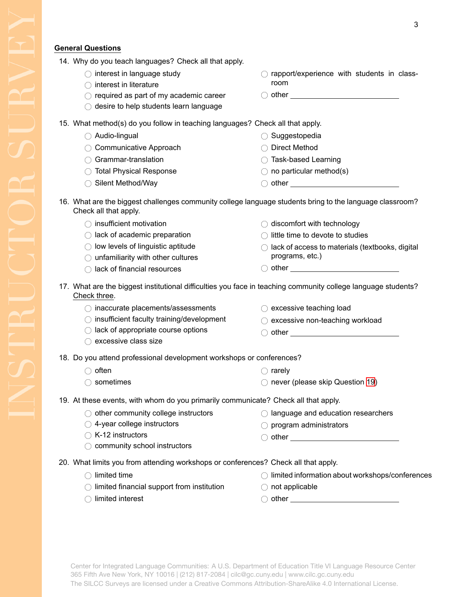## **General Questions**

| 14. Why do you teach languages? Check all that apply. |  |
|-------------------------------------------------------|--|
|-------------------------------------------------------|--|

- $\bigcirc$  interest in language study
- $\bigcirc$  interest in literature
- $\bigcirc$  required as part of my academic career
- $\bigcirc$  desire to help students learn language
- $\bigcirc$  rapport/experience with students in classroom
- $\bigcirc$  other  $\qquad \qquad$
- 15. What method(s) do you follow in teaching languages? Check all that apply.
	- $\bigcirc$  Audio-lingual
	- $\bigcirc$  Communicative Approach
	- $\bigcirc$  Grammar-translation
	- ◯ Total Physical Response
	- ◯ Silent Method/Way

◯ Direct Method

 $\bigcirc$  Suggestopedia

- <sup>8</sup> Task-based Learning  $\bigcirc$  no particular method(s)
- $\bigcirc$  other

 $\bigcirc$  discomfort with technology  $\bigcirc$  little time to devote to studies

 $\bigcirc$  other  $\qquad \qquad$ 

 $\bigcirc$  excessive non-teaching workload  $\bigcap$  other  $\begin{array}{ccc} \hline \end{array}$ 

programs, etc.)

 $\bigcirc$  excessive teaching load

 $\bigcirc$  lack of access to materials (textbooks, digital

- 16. What are the biggest challenges community college language students bring to the language classroom? Check all that apply.
	- $\bigcirc$  insufficient motivation
	- $\bigcirc$  lack of academic preparation
	- $\bigcirc$  low levels of linguistic aptitude
	- $\bigcirc$  unfamiliarity with other cultures
	- $\bigcirc$  lack of financial resources
- 17. What are the biggest institutional difficulties you face in teaching community college language students? Check three.
	- $\bigcirc$  inaccurate placements/assessments
	- $\bigcirc$  insufficient faculty training/development
	- $\bigcirc$  lack of appropriate course options
	- $\bigcirc$  excessive class size
- 18. Do you attend professional development workshops or conferences?
	- $\bigcirc$  often  $\bigcirc$  sometimes  $\bigcirc$  rarely  $\bigcirc$  never (please skip Question [19\)](#page-2-0)
- <span id="page-2-0"></span>19. At these events, with whom do you primarily communicate? Check all that apply.
- $\bigcirc$  other community college instructors  $\bigcirc$  4-year college instructors  $\bigcirc$  K-12 instructors  $\bigcirc$  community school instructors  $\bigcirc$  language and education researchers  $\bigcirc$  program administrators  $\bigcirc$  other  $\bigcirc$ 20. What limits you from attending workshops or conferences? Check all that apply.
	- $\bigcirc$  limited time  $\bigcirc$  limited financial support from institution  $\bigcirc$  limited information about workshops/conferences  $\bigcirc$  not applicable
	- $\bigcirc$  limited interest

 $\bigcirc$  other